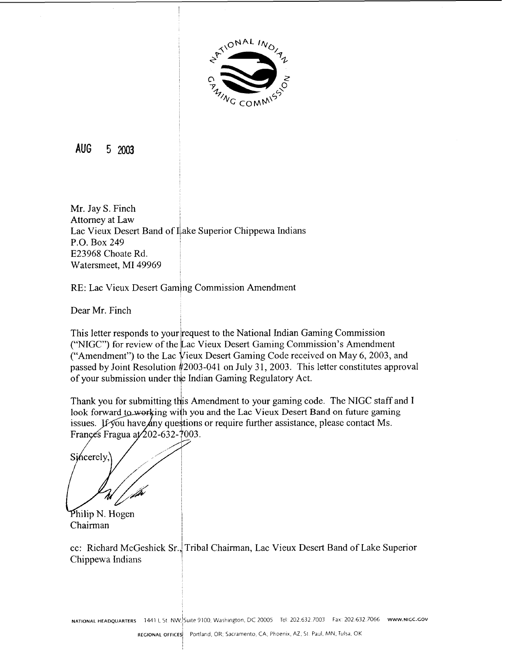

**AUG 5** 2003

Mr. Jay S. Finch Attorney at Law Lac Vieux Desert Band of Lake Superior Chippewa Indians P.O. Box 249 E23968 Choate Rd. Watersmeet, MI 49969

RE: Lac Vieux Desert Gaming Commission Amendment

Dear Mr. Finch

This letter responds to your irequest to the National Indian Gaming Commission ("NIGC") for review of the Lac Vieux Desert Gaming Commission's Amendment<br>("Amendment") to the Lac Vieux Desert Gaming Code received on May 6, 2003, and passed by Joint Resolution 42003-041 on July 31, 2003. This letter constitutes approval of your submission under the Indian Gaming Regulatory Act.

Thank you for submitting this Amendment to your gaming code. The NIGC staff and I look forward to working with you and the Lac Vieux Desert Band on future gaming issues. If you have *Any* questions or require further assistance, please contact Ms. Françes Fragua at 202-632-7003.

Sincerely.

Philip N. Hogen Chairman

cc: Richard McGeshick Sr., Tribal Chairman, Lac Vieux Desert Band of Lake Superior Chippewa Indians

**NATIONAL HEADQUARTERS** 1441 L St. NW. Suite 9100, Washington, DC 20005 Tel: 202.632.7003 Fax: 202.632.7066 www.NIGC.Gov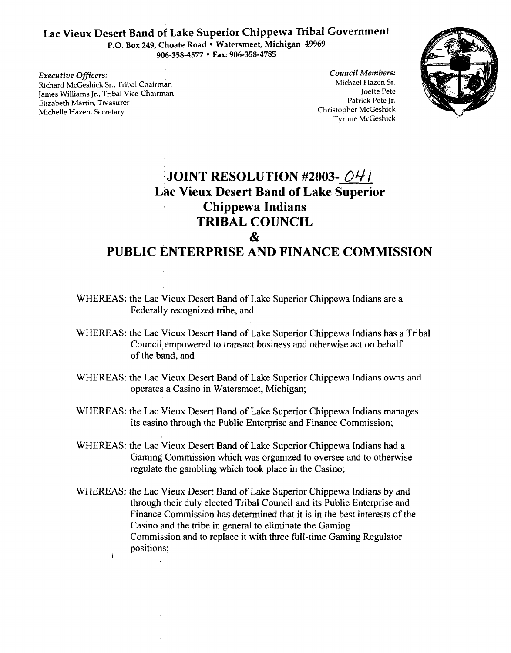## **Lac Vieux Desert Band of Lake Superior Chippewa Tribal Government**

P.O. Box 249, Choate Road . Watersmeet, Michigan 49969 **906-358-4577 Fax: 906-358-4785** 

*Executive Officers:*  Richard McGeshick Sr., Tribal chairman James Williams Jr., Tribal Vice-Chairman Elizabeth Martin, Treasurer Michelle Hazen, Secretary

*Council Members:*  Michael Hazcn Sr. Joette Pete Patrick Pete Jr. Christopher McGeshick Tyrone McGcshick



# **JOINT RESOLUTION #2003-** OY / **Lac Vieux Desert Band of Lake Superior Chippewa Indians TRIBAL COUNCIL**   $\mathbf{r}$

## **PUBLIC ENTERPRISE AND FINANCE COMMISSION**

- WHEREAS: the Lac Vieux Desert Band of Lake Superior Chippewa Indians are a Federally recognized tribe, and
- WHEREAS: the Lac Vieux Desert Band of Lake Superior Chippewa Indians has a Tribal Council empowered to transact business and otherwise act on behalf of the band, and
- WHEREAS: the Lac Vieux Desert Band of Lake Superior Chippewa Indians owns and operates a Casino in Watersmeet, Michigan;
- WHEREAS: the Lac Vieux Desert Band of Lake Superior Chippewa Indians manages its casino through the Public Enterprise and Finance Commission;
- WHEREAS: the Lac Vieux Desert Band of Lake Superior Chippewa Indians had a Gaming Commission which was organized to oversee and to otherwise regulate the gambling which took place in the Casino;
- WHEREAS: the Lac Vieux Desert Band of Lake Superior Chippewa Indians by and through their duly elected Tribal Council and its Public Enterprise and Finance Commission has determined that it is in the best interests of the Casino and the tribe in general to eliminate the Gaming Commission and to replace it with three full-time Gaming Regulator positions; **1**